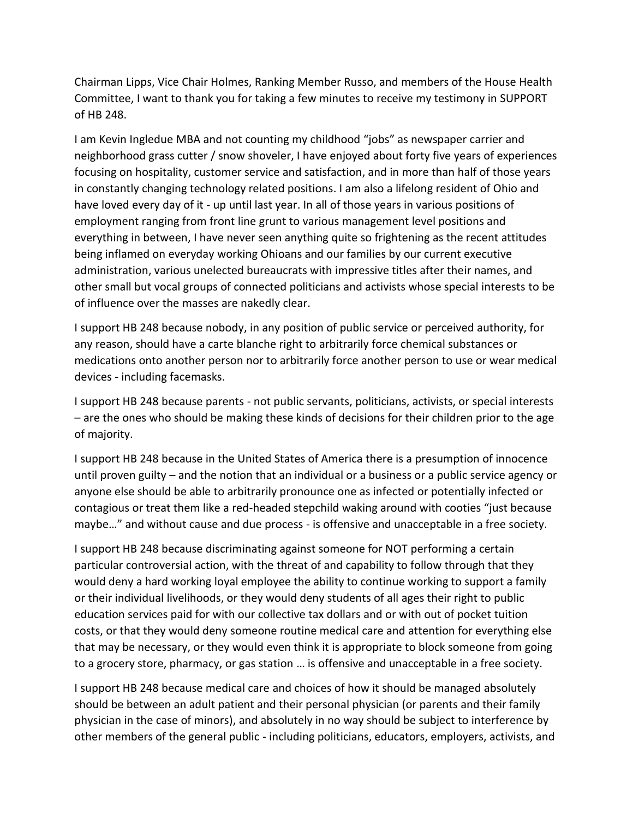Chairman Lipps, Vice Chair Holmes, Ranking Member Russo, and members of the House Health Committee, I want to thank you for taking a few minutes to receive my testimony in SUPPORT of HB 248.

I am Kevin Ingledue MBA and not counting my childhood "jobs" as newspaper carrier and neighborhood grass cutter / snow shoveler, I have enjoyed about forty five years of experiences focusing on hospitality, customer service and satisfaction, and in more than half of those years in constantly changing technology related positions. I am also a lifelong resident of Ohio and have loved every day of it - up until last year. In all of those years in various positions of employment ranging from front line grunt to various management level positions and everything in between, I have never seen anything quite so frightening as the recent attitudes being inflamed on everyday working Ohioans and our families by our current executive administration, various unelected bureaucrats with impressive titles after their names, and other small but vocal groups of connected politicians and activists whose special interests to be of influence over the masses are nakedly clear.

I support HB 248 because nobody, in any position of public service or perceived authority, for any reason, should have a carte blanche right to arbitrarily force chemical substances or medications onto another person nor to arbitrarily force another person to use or wear medical devices - including facemasks.

I support HB 248 because parents - not public servants, politicians, activists, or special interests – are the ones who should be making these kinds of decisions for their children prior to the age of majority.

I support HB 248 because in the United States of America there is a presumption of innocence until proven guilty – and the notion that an individual or a business or a public service agency or anyone else should be able to arbitrarily pronounce one as infected or potentially infected or contagious or treat them like a red-headed stepchild waking around with cooties "just because maybe…" and without cause and due process - is offensive and unacceptable in a free society.

I support HB 248 because discriminating against someone for NOT performing a certain particular controversial action, with the threat of and capability to follow through that they would deny a hard working loyal employee the ability to continue working to support a family or their individual livelihoods, or they would deny students of all ages their right to public education services paid for with our collective tax dollars and or with out of pocket tuition costs, or that they would deny someone routine medical care and attention for everything else that may be necessary, or they would even think it is appropriate to block someone from going to a grocery store, pharmacy, or gas station … is offensive and unacceptable in a free society.

I support HB 248 because medical care and choices of how it should be managed absolutely should be between an adult patient and their personal physician (or parents and their family physician in the case of minors), and absolutely in no way should be subject to interference by other members of the general public - including politicians, educators, employers, activists, and